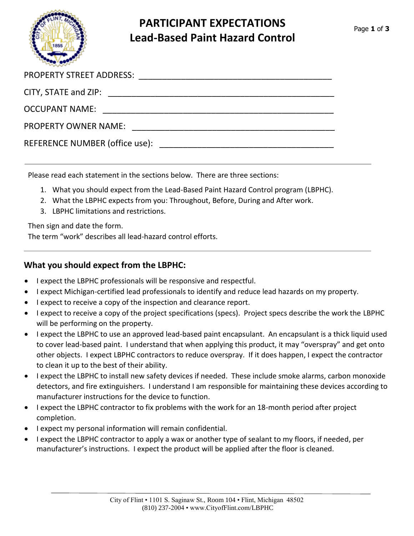

# **PARTICIPANT EXPECTATIONS Lead-Based Paint Hazard Control**

| <b>OCCUPANT NAME:</b> |  |
|-----------------------|--|
| PROPERTY OWNER NAME:  |  |
|                       |  |

Please read each statement in the sections below. There are three sections:

- 1. What you should expect from the Lead-Based Paint Hazard Control program (LBPHC).
- 2. What the LBPHC expects from you: Throughout, Before, During and After work.
- 3. LBPHC limitations and restrictions.

Then sign and date the form.

The term "work" describes all lead-hazard control efforts.

#### **What you should expect from the LBPHC:**

- I expect the LBPHC professionals will be responsive and respectful.
- I expect Michigan-certified lead professionals to identify and reduce lead hazards on my property.
- I expect to receive a copy of the inspection and clearance report.
- I expect to receive a copy of the project specifications (specs). Project specs describe the work the LBPHC will be performing on the property.
- I expect the LBPHC to use an approved lead-based paint encapsulant. An encapsulant is a thick liquid used to cover lead-based paint. I understand that when applying this product, it may "overspray" and get onto other objects. I expect LBPHC contractors to reduce overspray. If it does happen, I expect the contractor to clean it up to the best of their ability.
- I expect the LBPHC to install new safety devices if needed. These include smoke alarms, carbon monoxide detectors, and fire extinguishers. I understand I am responsible for maintaining these devices according to manufacturer instructions for the device to function.
- I expect the LBPHC contractor to fix problems with the work for an 18-month period after project completion.
- I expect my personal information will remain confidential.
- I expect the LBPHC contractor to apply a wax or another type of sealant to my floors, if needed, per manufacturer's instructions. I expect the product will be applied after the floor is cleaned.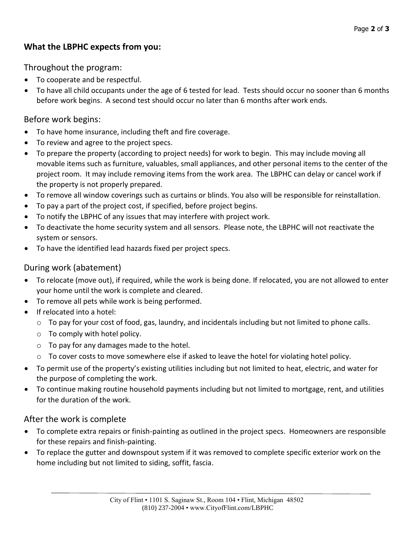## **What the LBPHC expects from you:**

Throughout the program:

- To cooperate and be respectful.
- To have all child occupants under the age of 6 tested for lead. Tests should occur no sooner than 6 months before work begins. A second test should occur no later than 6 months after work ends.

### Before work begins:

- To have home insurance, including theft and fire coverage.
- To review and agree to the project specs.
- To prepare the property (according to project needs) for work to begin. This may include moving all movable items such as furniture, valuables, small appliances, and other personal items to the center of the project room. It may include removing items from the work area. The LBPHC can delay or cancel work if the property is not properly prepared.
- To remove all window coverings such as curtains or blinds. You also will be responsible for reinstallation.
- To pay a part of the project cost, if specified, before project begins.
- To notify the LBPHC of any issues that may interfere with project work.
- To deactivate the home security system and all sensors. Please note, the LBPHC will not reactivate the system or sensors.
- To have the identified lead hazards fixed per project specs.

### During work (abatement)

- To relocate (move out), if required, while the work is being done. If relocated, you are not allowed to enter your home until the work is complete and cleared.
- To remove all pets while work is being performed.
- If relocated into a hotel:
	- $\circ$  To pay for your cost of food, gas, laundry, and incidentals including but not limited to phone calls.
	- $\circ$  To comply with hotel policy.
	- o To pay for any damages made to the hotel.
	- $\circ$  To cover costs to move somewhere else if asked to leave the hotel for violating hotel policy.
- To permit use of the property's existing utilities including but not limited to heat, electric, and water for the purpose of completing the work.
- To continue making routine household payments including but not limited to mortgage, rent, and utilities for the duration of the work.

### After the work is complete

- To complete extra repairs or finish-painting as outlined in the project specs. Homeowners are responsible for these repairs and finish-painting.
- To replace the gutter and downspout system if it was removed to complete specific exterior work on the home including but not limited to siding, soffit, fascia.